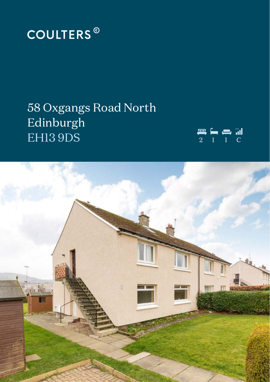

# 58 Oxgangs Road North Edinburgh EHI3 9DS



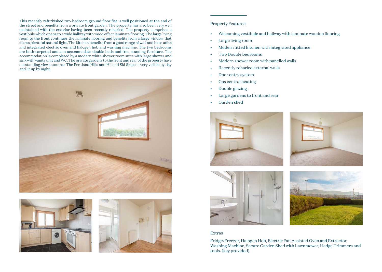This recently refurbished two-bedroom ground floor flat is well positioned at the end of the street and benefits from a private front garden. The property has also been very well maintained with the exterior having been recently reharled. The property comprises a vestibule which opens to a wide hallway with wood effect laminate flooring. The large living room to the front continues the laminate flooring and benefits from a large window that allows plentiful natural light. The kitchen benefits from a good range of wall and base units and integrated electric oven and halogen hob and washing machine. The two bedrooms are both carpeted and can accommodate double beds and free-standing furniture. The accommodation is completed by a modern white shower room suite with large shower and sink with vanity unit and WC. The private gardens to the front and rear of the property have outstanding views towards The Pentland Hills and Hillend Ski Slope is very visible by day and lit up by night.







## Property Features:

- Welcoming vestibule and hallway with laminate wooden flooring
- Large living room
- Modern fitted kitchen with integrated appliance
- Two Double bedrooms
- Modern shower room with panelled walls
- Recently reharled external walls
- Door entry system
- Gas central heating
- Double glazing
- Large gardens to front and rear
- Garden shed



### Extras

Fridge/Freezer, Halogen Hob, Electric Fan Assisted Oven and Extractor, Washing Machine, Secure Garden Shed with Lawnmower, Hedge Trimmers and tools. (key provided).